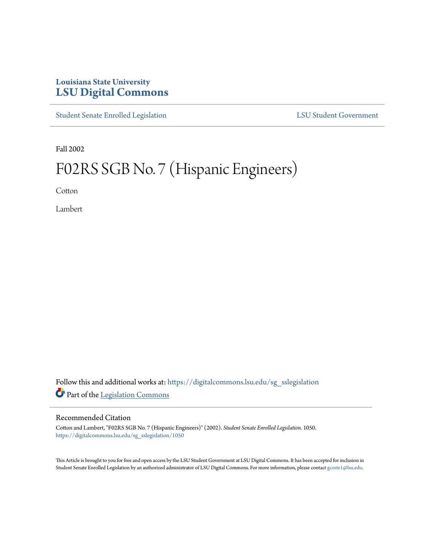# **Louisiana State University [LSU Digital Commons](https://digitalcommons.lsu.edu?utm_source=digitalcommons.lsu.edu%2Fsg_sslegislation%2F1050&utm_medium=PDF&utm_campaign=PDFCoverPages)**

[Student Senate Enrolled Legislation](https://digitalcommons.lsu.edu/sg_sslegislation?utm_source=digitalcommons.lsu.edu%2Fsg_sslegislation%2F1050&utm_medium=PDF&utm_campaign=PDFCoverPages) [LSU Student Government](https://digitalcommons.lsu.edu/sg?utm_source=digitalcommons.lsu.edu%2Fsg_sslegislation%2F1050&utm_medium=PDF&utm_campaign=PDFCoverPages)

Fall 2002

# F02RS SGB No. 7 (Hispanic Engineers)

Cotton

Lambert

Follow this and additional works at: [https://digitalcommons.lsu.edu/sg\\_sslegislation](https://digitalcommons.lsu.edu/sg_sslegislation?utm_source=digitalcommons.lsu.edu%2Fsg_sslegislation%2F1050&utm_medium=PDF&utm_campaign=PDFCoverPages) Part of the [Legislation Commons](http://network.bepress.com/hgg/discipline/859?utm_source=digitalcommons.lsu.edu%2Fsg_sslegislation%2F1050&utm_medium=PDF&utm_campaign=PDFCoverPages)

#### Recommended Citation

Cotton and Lambert, "F02RS SGB No. 7 (Hispanic Engineers)" (2002). *Student Senate Enrolled Legislation*. 1050. [https://digitalcommons.lsu.edu/sg\\_sslegislation/1050](https://digitalcommons.lsu.edu/sg_sslegislation/1050?utm_source=digitalcommons.lsu.edu%2Fsg_sslegislation%2F1050&utm_medium=PDF&utm_campaign=PDFCoverPages)

This Article is brought to you for free and open access by the LSU Student Government at LSU Digital Commons. It has been accepted for inclusion in Student Senate Enrolled Legislation by an authorized administrator of LSU Digital Commons. For more information, please contact [gcoste1@lsu.edu.](mailto:gcoste1@lsu.edu)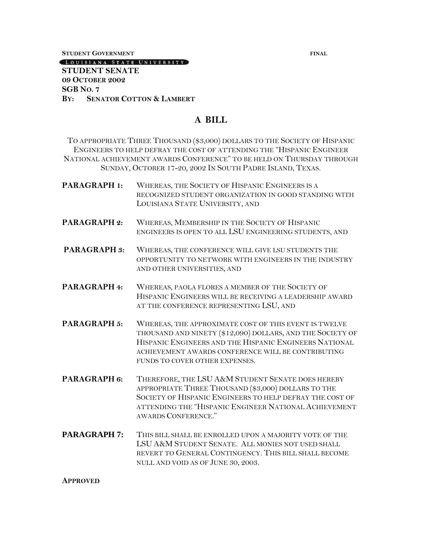**STUDENT GOVERNMENT FINAL**

### LOUISIANA STATE UNIVERSITY **STUDENT SENATE**

**09 OCTOBER 2002 SGB NO. 7 BY: SENATOR COTTON & LAMBERT**

## **A BILL**

TO APPROPRIATE THREE THOUSAND (\$3,000) DOLLARS TO THE SOCIETY OF HISPANIC ENGINEERS TO HELP DEFRAY THE COST OF ATTENDING THE "HISPANIC ENGINEER NATIONAL ACHIEVEMENT AWARDS CONFERENCE" TO BE HELD ON THURSDAY THROUGH SUNDAY, OCTOBER 17-20, 2002 IN SOUTH PADRE ISLAND, TEXAS.

**PARAGRAPH 1:** WHEREAS, THE SOCIETY OF HISPANIC ENGINEERS IS A RECOGNIZED STUDENT ORGANIZATION IN GOOD STANDING WITH LOUISIANA STATE UNIVERSITY, AND **PARAGRAPH 2:** WHEREAS, MEMBERSHIP IN THE SOCIETY OF HISPANIC ENGINEERS IS OPEN TO ALL LSU ENGINEERING STUDENTS, AND **PARAGRAPH 3:** WHEREAS, THE CONFERENCE WILL GIVE LSU STUDENTS THE OPPORTUNITY TO NETWORK WITH ENGINEERS IN THE INDUSTRY AND OTHER UNIVERSITIES, AND **PARAGRAPH 4:** WHEREAS, PAOLA FLORES A MEMBER OF THE SOCIETY OF HISPANIC ENGINEERS WILL BE RECEIVING A LEADERSHIP AWARD AT THE CONFERENCE REPRESENTING LSU, AND **PARAGRAPH 5:** WHEREAS, THE APPROXIMATE COST OF THIS EVENT IS TWELVE THOUSAND AND NINETY (\$12,090) DOLLARS, AND THE SOCIETY OF HISPANIC ENGINEERS AND THE HISPANIC ENGINEERS NATIONAL ACHIEVEMENT AWARDS CONFERENCE WILL BE CONTRIBUTING FUNDS TO COVER OTHER EXPENSES. **PARAGRAPH 6:** THEREFORE, THE LSU A&M STUDENT SENATE DOES HEREBY APPROPRIATE THREE THOUSAND (\$3,000) DOLLARS TO THE SOCIETY OF HISPANIC ENGINEERS TO HELP DEFRAY THE COST OF ATTENDING THE "HISPANIC ENGINEER NATIONAL ACHIEVEMENT AWARDS CONFERENCE." **PARAGRAPH 7:** THIS BILL SHALL BE ENROLLED UPON A MAJORITY VOTE OF THE LSU A&M STUDENT SENATE. ALL MONIES NOT USED SHALL REVERT TO GENERAL CONTINGENCY. THIS BILL SHALL BECOME

NULL AND VOID AS OF JUNE 30, 2003.

#### **APPROVED**